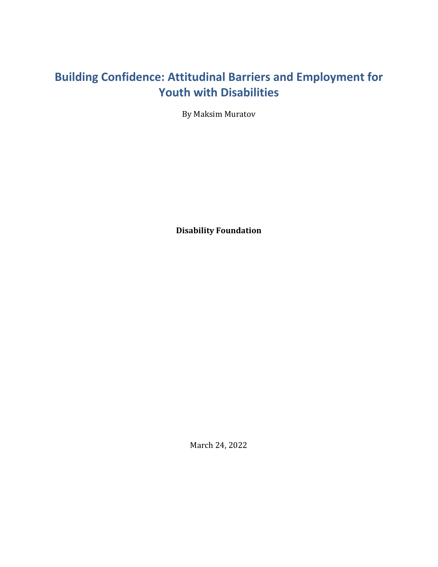# <span id="page-0-0"></span>**Building Confidence: Attitudinal Barriers and Employment for Youth with Disabilities**

By Maksim Muratov

**Disability Foundation**

March 24, 2022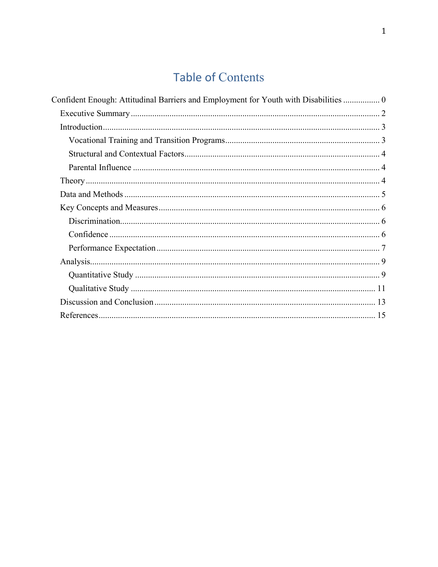# **Table of Contents**

| Confident Enough: Attitudinal Barriers and Employment for Youth with Disabilities  0 |
|--------------------------------------------------------------------------------------|
|                                                                                      |
|                                                                                      |
|                                                                                      |
|                                                                                      |
|                                                                                      |
|                                                                                      |
|                                                                                      |
|                                                                                      |
|                                                                                      |
|                                                                                      |
|                                                                                      |
|                                                                                      |
|                                                                                      |
|                                                                                      |
|                                                                                      |
|                                                                                      |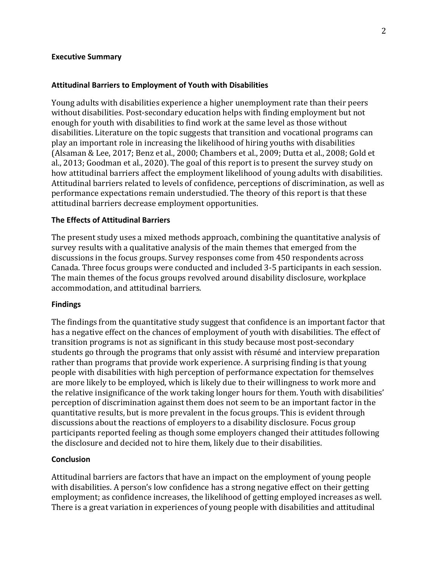#### <span id="page-2-0"></span>**Executive Summary**

#### **Attitudinal Barriers to Employment of Youth with Disabilities**

Young adults with disabilities experience a higher unemployment rate than their peers without disabilities. Post-secondary education helps with finding employment but not enough for youth with disabilities to find work at the same level as those without disabilities. Literature on the topic suggests that transition and vocational programs can play an important role in increasing the likelihood of hiring youths with disabilities (Alsaman & Lee, 2017; Benz et al., 2000; Chambers et al., 2009; Dutta et al., 2008; Gold et al., 2013; Goodman et al., 2020). The goal of this report is to present the survey study on how attitudinal barriers affect the employment likelihood of young adults with disabilities. Attitudinal barriers related to levels of confidence, perceptions of discrimination, as well as performance expectations remain understudied. The theory of this report is that these attitudinal barriers decrease employment opportunities.

#### **The Effects of Attitudinal Barriers**

The present study uses a mixed methods approach, combining the quantitative analysis of survey results with a qualitative analysis of the main themes that emerged from the discussions in the focus groups. Survey responses come from 450 respondents across Canada. Three focus groups were conducted and included 3-5 participants in each session. The main themes of the focus groups revolved around disability disclosure, workplace accommodation, and attitudinal barriers.

#### **Findings**

The findings from the quantitative study suggest that confidence is an important factor that has a negative effect on the chances of employment of youth with disabilities. The effect of transition programs is not as significant in this study because most post-secondary students go through the programs that only assist with résumé and interview preparation rather than programs that provide work experience. A surprising finding is that young people with disabilities with high perception of performance expectation for themselves are more likely to be employed, which is likely due to their willingness to work more and the relative insignificance of the work taking longer hours for them. Youth with disabilities' perception of discrimination against them does not seem to be an important factor in the quantitative results, but is more prevalent in the focus groups. This is evident through discussions about the reactions of employers to a disability disclosure. Focus group participants reported feeling as though some employers changed their attitudes following the disclosure and decided not to hire them, likely due to their disabilities.

#### **Conclusion**

Attitudinal barriers are factors that have an impact on the employment of young people with disabilities. A person's low confidence has a strong negative effect on their getting employment; as confidence increases, the likelihood of getting employed increases as well. There is a great variation in experiences of young people with disabilities and attitudinal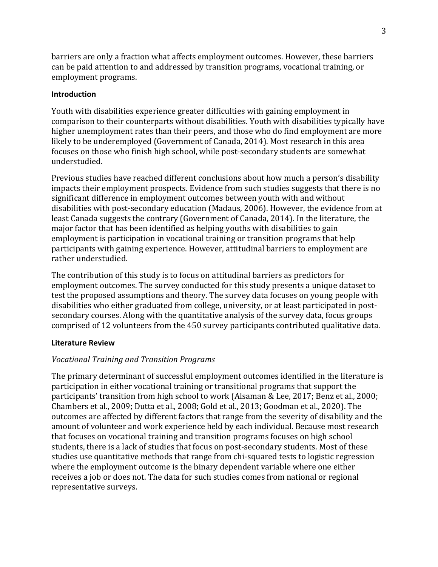barriers are only a fraction what affects employment outcomes. However, these barriers can be paid attention to and addressed by transition programs, vocational training, or employment programs.

## <span id="page-3-0"></span>**Introduction**

Youth with disabilities experience greater difficulties with gaining employment in comparison to their counterparts without disabilities. Youth with disabilities typically have higher unemployment rates than their peers, and those who do find employment are more likely to be underemployed (Government of Canada, 2014). Most research in this area focuses on those who finish high school, while post-secondary students are somewhat understudied.

Previous studies have reached different conclusions about how much a person's disability impacts their employment prospects. Evidence from such studies suggests that there is no significant difference in employment outcomes between youth with and without disabilities with post-secondary education (Madaus, 2006). However, the evidence from at least Canada suggests the contrary (Government of Canada, 2014). In the literature, the major factor that has been identified as helping youths with disabilities to gain employment is participation in vocational training or transition programs that help participants with gaining experience. However, attitudinal barriers to employment are rather understudied.

The contribution of this study is to focus on attitudinal barriers as predictors for employment outcomes. The survey conducted for this study presents a unique dataset to test the proposed assumptions and theory. The survey data focuses on young people with disabilities who either graduated from college, university, or at least participated in postsecondary courses. Along with the quantitative analysis of the survey data, focus groups comprised of 12 volunteers from the 450 survey participants contributed qualitative data.

## **Literature Review**

## <span id="page-3-1"></span>*Vocational Training and Transition Programs*

<span id="page-3-2"></span>The primary determinant of successful employment outcomes identified in the literature is participation in either vocational training or transitional programs that support the participants' transition from high school to work (Alsaman & Lee, 2017; Benz et al., 2000; Chambers et al., 2009; Dutta et al., 2008; Gold et al., 2013; Goodman et al., 2020). The outcomes are affected by different factors that range from the severity of disability and the amount of volunteer and work experience held by each individual. Because most research that focuses on vocational training and transition programs focuses on high school students, there is a lack of studies that focus on post-secondary students. Most of these studies use quantitative methods that range from chi-squared tests to logistic regression where the employment outcome is the binary dependent variable where one either receives a job or does not. The data for such studies comes from national or regional representative surveys.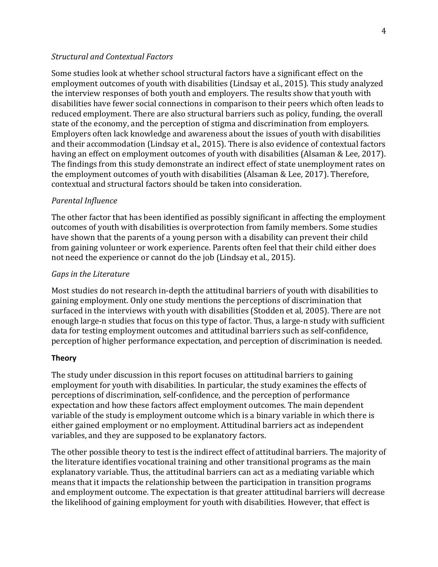### *Structural and Contextual Factors*

Some studies look at whether school structural factors have a significant effect on the employment outcomes of youth with disabilities (Lindsay et al., 2015). This study analyzed the interview responses of both youth and employers. The results show that youth with disabilities have fewer social connections in comparison to their peers which often leads to reduced employment. There are also structural barriers such as policy, funding, the overall state of the economy, and the perception of stigma and discrimination from employers. Employers often lack knowledge and awareness about the issues of youth with disabilities and their accommodation (Lindsay et al., 2015). There is also evidence of contextual factors having an effect on employment outcomes of youth with disabilities (Alsaman & Lee, 2017). The findings from this study demonstrate an indirect effect of state unemployment rates on the employment outcomes of youth with disabilities (Alsaman & Lee, 2017). Therefore, contextual and structural factors should be taken into consideration.

#### <span id="page-4-0"></span>*Parental Influence*

The other factor that has been identified as possibly significant in affecting the employment outcomes of youth with disabilities is overprotection from family members. Some studies have shown that the parents of a young person with a disability can prevent their child from gaining volunteer or work experience. Parents often feel that their child either does not need the experience or cannot do the job (Lindsay et al., 2015).

#### *Gaps in the Literature*

Most studies do not research in-depth the attitudinal barriers of youth with disabilities to gaining employment. Only one study mentions the perceptions of discrimination that surfaced in the interviews with youth with disabilities (Stodden et al, 2005). There are not enough large-n studies that focus on this type of factor. Thus, a large-n study with sufficient data for testing employment outcomes and attitudinal barriers such as self-confidence, perception of higher performance expectation, and perception of discrimination is needed.

#### <span id="page-4-1"></span>**Theory**

The study under discussion in this report focuses on attitudinal barriers to gaining employment for youth with disabilities. In particular, the study examines the effects of perceptions of discrimination, self-confidence, and the perception of performance expectation and how these factors affect employment outcomes. The main dependent variable of the study is employment outcome which is a binary variable in which there is either gained employment or no employment. Attitudinal barriers act as independent variables, and they are supposed to be explanatory factors.

The other possible theory to test is the indirect effect of attitudinal barriers. The majority of the literature identifies vocational training and other transitional programs as the main explanatory variable. Thus, the attitudinal barriers can act as a mediating variable which means that it impacts the relationship between the participation in transition programs and employment outcome. The expectation is that greater attitudinal barriers will decrease the likelihood of gaining employment for youth with disabilities. However, that effect is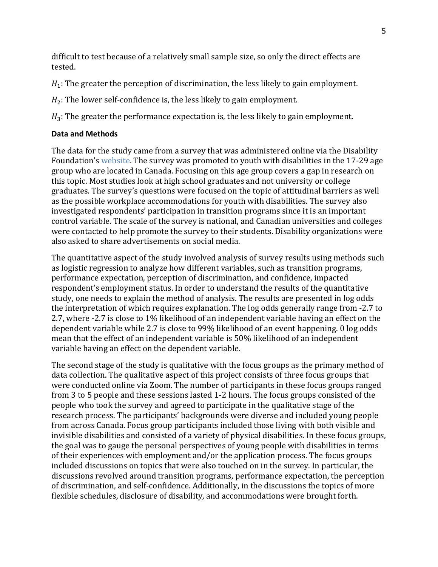difficult to test because of a relatively small sample size, so only the direct effects are tested.

 $H_1$ : The greater the perception of discrimination, the less likely to gain employment.

 $H_2$ : The lower self-confidence is, the less likely to gain employment.

 $H_3$ : The greater the performance expectation is, the less likely to gain employment.

### <span id="page-5-0"></span>**Data and Methods**

The data for the study came from a survey that was administered online via the Disability Foundation's [website.](https://disabilityfoundation.org/) The survey was promoted to youth with disabilities in the 17-29 age group who are located in Canada. Focusing on this age group covers a gap in research on this topic. Most studies look at high school graduates and not university or college graduates. The survey's questions were focused on the topic of attitudinal barriers as well as the possible workplace accommodations for youth with disabilities. The survey also investigated respondents' participation in transition programs since it is an important control variable. The scale of the survey is national, and Canadian universities and colleges were contacted to help promote the survey to their students. Disability organizations were also asked to share advertisements on social media.

The quantitative aspect of the study involved analysis of survey results using methods such as logistic regression to analyze how different variables, such as transition programs, performance expectation, perception of discrimination, and confidence, impacted respondent's employment status. In order to understand the results of the quantitative study, one needs to explain the method of analysis. The results are presented in log odds the interpretation of which requires explanation. The log odds generally range from -2.7 to 2.7, where -2.7 is close to 1% likelihood of an independent variable having an effect on the dependent variable while 2.7 is close to 99% likelihood of an event happening. 0 log odds mean that the effect of an independent variable is 50% likelihood of an independent variable having an effect on the dependent variable.

The second stage of the study is qualitative with the focus groups as the primary method of data collection. The qualitative aspect of this project consists of three focus groups that were conducted online via Zoom. The number of participants in these focus groups ranged from 3 to 5 people and these sessions lasted 1-2 hours. The focus groups consisted of the people who took the survey and agreed to participate in the qualitative stage of the research process. The participants' backgrounds were diverse and included young people from across Canada. Focus group participants included those living with both visible and invisible disabilities and consisted of a variety of physical disabilities. In these focus groups, the goal was to gauge the personal perspectives of young people with disabilities in terms of their experiences with employment and/or the application process. The focus groups included discussions on topics that were also touched on in the survey. In particular, the discussions revolved around transition programs, performance expectation, the perception of discrimination, and self-confidence. Additionally, in the discussions the topics of more flexible schedules, disclosure of disability, and accommodations were brought forth.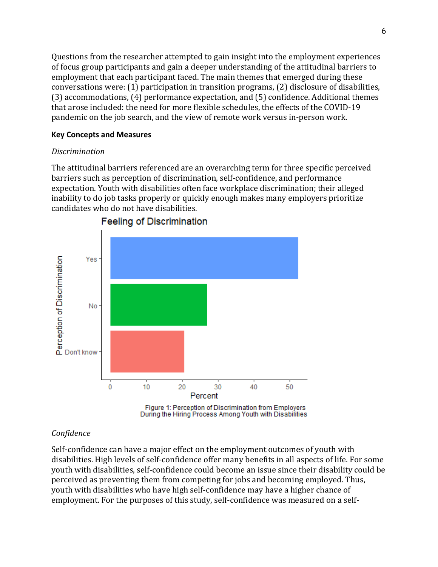Questions from the researcher attempted to gain insight into the employment experiences of focus group participants and gain a deeper understanding of the attitudinal barriers to employment that each participant faced. The main themes that emerged during these conversations were: (1) participation in transition programs, (2) disclosure of disabilities, (3) accommodations, (4) performance expectation, and (5) confidence. Additional themes that arose included: the need for more flexible schedules, the effects of the COVID-19 pandemic on the job search, and the view of remote work versus in-person work.

## <span id="page-6-0"></span>**Key Concepts and Measures**

## <span id="page-6-1"></span>*Discrimination*

The attitudinal barriers referenced are an overarching term for three specific perceived barriers such as perception of discrimination, self-confidence, and performance expectation. Youth with disabilities often face workplace discrimination; their alleged inability to do job tasks properly or quickly enough makes many employers prioritize candidates who do not have disabilities.



## **Feeling of Discrimination**

## <span id="page-6-2"></span>*Confidence*

Self-confidence can have a major effect on the employment outcomes of youth with disabilities. High levels of self-confidence offer many benefits in all aspects of life. For some youth with disabilities, self-confidence could become an issue since their disability could be perceived as preventing them from competing for jobs and becoming employed. Thus, youth with disabilities who have high self-confidence may have a higher chance of employment. For the purposes of this study, self-confidence was measured on a self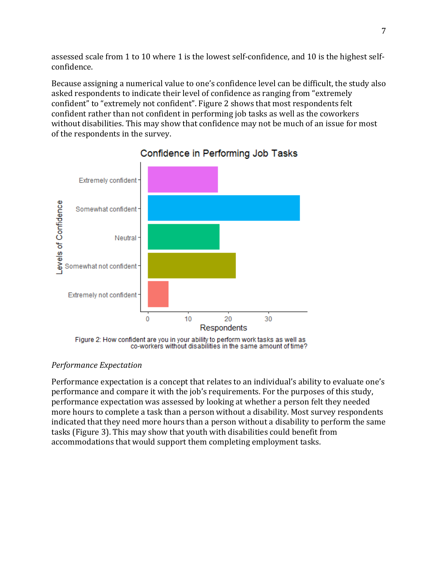assessed scale from 1 to 10 where 1 is the lowest self-confidence, and 10 is the highest selfconfidence.

Because assigning a numerical value to one's confidence level can be difficult, the study also asked respondents to indicate their level of confidence as ranging from "extremely confident" to "extremely not confident". Figure 2 shows that most respondents felt confident rather than not confident in performing job tasks as well as the coworkers without disabilities. This may show that confidence may not be much of an issue for most of the respondents in the survey.



## Confidence in Performing Job Tasks

## <span id="page-7-0"></span>*Performance Expectation*

Performance expectation is a concept that relates to an individual's ability to evaluate one's performance and compare it with the job's requirements. For the purposes of this study, performance expectation was assessed by looking at whether a person felt they needed more hours to complete a task than a person without a disability. Most survey respondents indicated that they need more hours than a person without a disability to perform the same tasks (Figure 3). This may show that youth with disabilities could benefit from accommodations that would support them completing employment tasks.

Figure 2: How confident are you in your ability to perform work tasks as well as co-workers without disabilities in the same amount of time?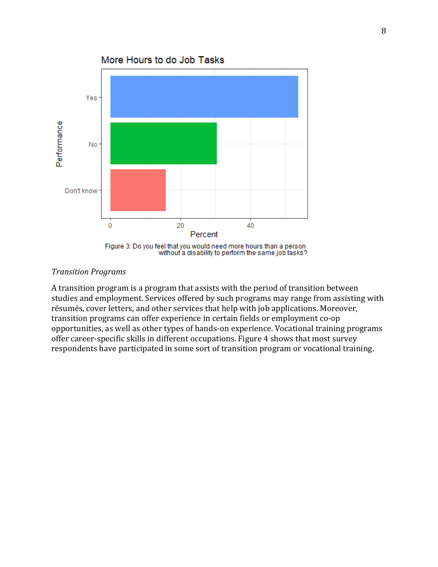

Figure 3: Do you feel that you would need more hours than a person<br>without a disability to perform the same job tasks?

#### *Transition Programs*

A transition program is a program that assists with the period of transition between studies and employment. Services offered by such programs may range from assisting with résumés, cover letters, and other services that help with job applications. Moreover, transition programs can offer experience in certain fields or employment co-op opportunities, as well as other types of hands-on experience. Vocational training programs offer career-specific skills in different occupations. Figure 4 shows that most survey respondents have participated in some sort of transition program or vocational training.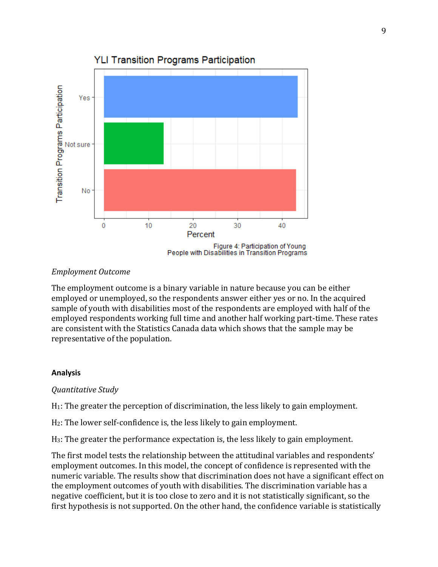

**YLI Transition Programs Participation** 

People with Disabilities in Transition Programs

## *Employment Outcome*

The employment outcome is a binary variable in nature because you can be either employed or unemployed, so the respondents answer either yes or no. In the acquired sample of youth with disabilities most of the respondents are employed with half of the employed respondents working full time and another half working part-time. These rates are consistent with the Statistics Canada data which shows that the sample may be representative of the population.

### <span id="page-9-0"></span>**Analysis**

### <span id="page-9-1"></span>*Quantitative Study*

H1: The greater the perception of discrimination, the less likely to gain employment.

H2: The lower self-confidence is, the less likely to gain employment.

H3: The greater the performance expectation is, the less likely to gain employment.

The first model tests the relationship between the attitudinal variables and respondents' employment outcomes. In this model, the concept of confidence is represented with the numeric variable. The results show that discrimination does not have a significant effect on the employment outcomes of youth with disabilities. The discrimination variable has a negative coefficient, but it is too close to zero and it is not statistically significant, so the first hypothesis is not supported. On the other hand, the confidence variable is statistically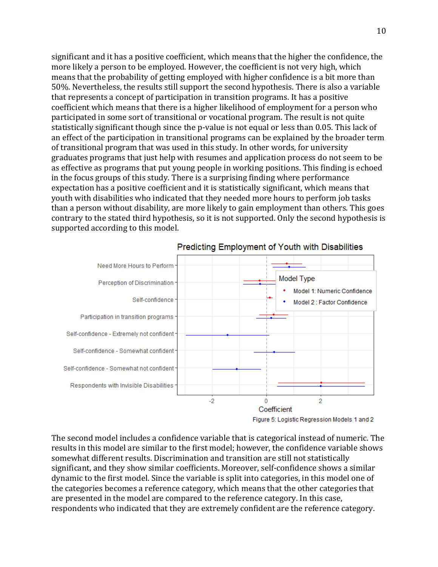significant and it has a positive coefficient, which means that the higher the confidence, the more likely a person to be employed. However, the coefficient is not very high, which means that the probability of getting employed with higher confidence is a bit more than 50%. Nevertheless, the results still support the second hypothesis. There is also a variable that represents a concept of participation in transition programs. It has a positive coefficient which means that there is a higher likelihood of employment for a person who participated in some sort of transitional or vocational program. The result is not quite statistically significant though since the p-value is not equal or less than 0.05. This lack of an effect of the participation in transitional programs can be explained by the broader term of transitional program that was used in this study. In other words, for university graduates programs that just help with resumes and application process do not seem to be as effective as programs that put young people in working positions. This finding is echoed in the focus groups of this study. There is a surprising finding where performance expectation has a positive coefficient and it is statistically significant, which means that youth with disabilities who indicated that they needed more hours to perform job tasks than a person without disability, are more likely to gain employment than others. This goes contrary to the stated third hypothesis, so it is not supported. Only the second hypothesis is supported according to this model.



#### Predicting Employment of Youth with Disabilities

The second model includes a confidence variable that is categorical instead of numeric. The results in this model are similar to the first model; however, the confidence variable shows somewhat different results. Discrimination and transition are still not statistically significant, and they show similar coefficients. Moreover, self-confidence shows a similar dynamic to the first model. Since the variable is split into categories, in this model one of the categories becomes a reference category, which means that the other categories that are presented in the model are compared to the reference category. In this case, respondents who indicated that they are extremely confident are the reference category.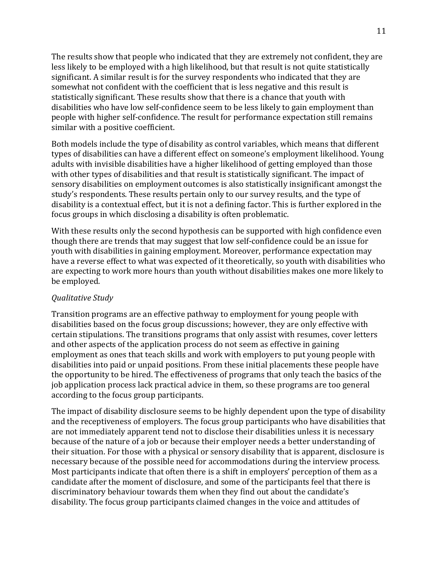The results show that people who indicated that they are extremely not confident, they are less likely to be employed with a high likelihood, but that result is not quite statistically significant. A similar result is for the survey respondents who indicated that they are somewhat not confident with the coefficient that is less negative and this result is statistically significant. These results show that there is a chance that youth with disabilities who have low self-confidence seem to be less likely to gain employment than people with higher self-confidence. The result for performance expectation still remains similar with a positive coefficient.

Both models include the type of disability as control variables, which means that different types of disabilities can have a different effect on someone's employment likelihood. Young adults with invisible disabilities have a higher likelihood of getting employed than those with other types of disabilities and that result is statistically significant. The impact of sensory disabilities on employment outcomes is also statistically insignificant amongst the study's respondents. These results pertain only to our survey results, and the type of disability is a contextual effect, but it is not a defining factor. This is further explored in the focus groups in which disclosing a disability is often problematic.

With these results only the second hypothesis can be supported with high confidence even though there are trends that may suggest that low self-confidence could be an issue for youth with disabilities in gaining employment. Moreover, performance expectation may have a reverse effect to what was expected of it theoretically, so youth with disabilities who are expecting to work more hours than youth without disabilities makes one more likely to be employed.

## <span id="page-11-0"></span>*Qualitative Study*

Transition programs are an effective pathway to employment for young people with disabilities based on the focus group discussions; however, they are only effective with certain stipulations. The transitions programs that only assist with resumes, cover letters and other aspects of the application process do not seem as effective in gaining employment as ones that teach skills and work with employers to put young people with disabilities into paid or unpaid positions. From these initial placements these people have the opportunity to be hired. The effectiveness of programs that only teach the basics of the job application process lack practical advice in them, so these programs are too general according to the focus group participants.

The impact of disability disclosure seems to be highly dependent upon the type of disability and the receptiveness of employers. The focus group participants who have disabilities that are not immediately apparent tend not to disclose their disabilities unless it is necessary because of the nature of a job or because their employer needs a better understanding of their situation. For those with a physical or sensory disability that is apparent, disclosure is necessary because of the possible need for accommodations during the interview process. Most participants indicate that often there is a shift in employers' perception of them as a candidate after the moment of disclosure, and some of the participants feel that there is discriminatory behaviour towards them when they find out about the candidate's disability. The focus group participants claimed changes in the voice and attitudes of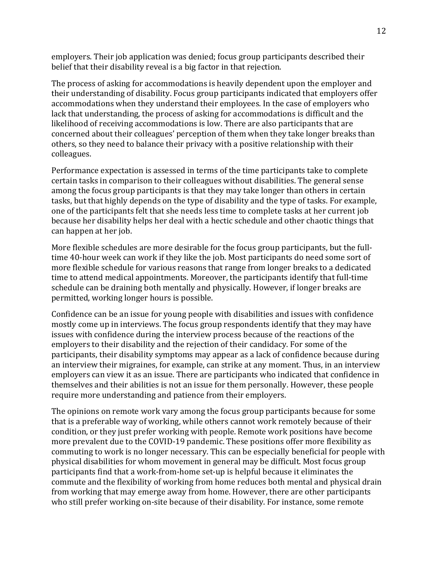employers. Their job application was denied; focus group participants described their belief that their disability reveal is a big factor in that rejection.

The process of asking for accommodations is heavily dependent upon the employer and their understanding of disability. Focus group participants indicated that employers offer accommodations when they understand their employees. In the case of employers who lack that understanding, the process of asking for accommodations is difficult and the likelihood of receiving accommodations is low. There are also participants that are concerned about their colleagues' perception of them when they take longer breaks than others, so they need to balance their privacy with a positive relationship with their colleagues.

Performance expectation is assessed in terms of the time participants take to complete certain tasks in comparison to their colleagues without disabilities. The general sense among the focus group participants is that they may take longer than others in certain tasks, but that highly depends on the type of disability and the type of tasks. For example, one of the participants felt that she needs less time to complete tasks at her current job because her disability helps her deal with a hectic schedule and other chaotic things that can happen at her job.

More flexible schedules are more desirable for the focus group participants, but the fulltime 40-hour week can work if they like the job. Most participants do need some sort of more flexible schedule for various reasons that range from longer breaks to a dedicated time to attend medical appointments. Moreover, the participants identify that full-time schedule can be draining both mentally and physically. However, if longer breaks are permitted, working longer hours is possible.

Confidence can be an issue for young people with disabilities and issues with confidence mostly come up in interviews. The focus group respondents identify that they may have issues with confidence during the interview process because of the reactions of the employers to their disability and the rejection of their candidacy. For some of the participants, their disability symptoms may appear as a lack of confidence because during an interview their migraines, for example, can strike at any moment. Thus, in an interview employers can view it as an issue. There are participants who indicated that confidence in themselves and their abilities is not an issue for them personally. However, these people require more understanding and patience from their employers.

The opinions on remote work vary among the focus group participants because for some that is a preferable way of working, while others cannot work remotely because of their condition, or they just prefer working with people. Remote work positions have become more prevalent due to the COVID-19 pandemic. These positions offer more flexibility as commuting to work is no longer necessary. This can be especially beneficial for people with physical disabilities for whom movement in general may be difficult. Most focus group participants find that a work-from-home set-up is helpful because it eliminates the commute and the flexibility of working from home reduces both mental and physical drain from working that may emerge away from home. However, there are other participants who still prefer working on-site because of their disability. For instance, some remote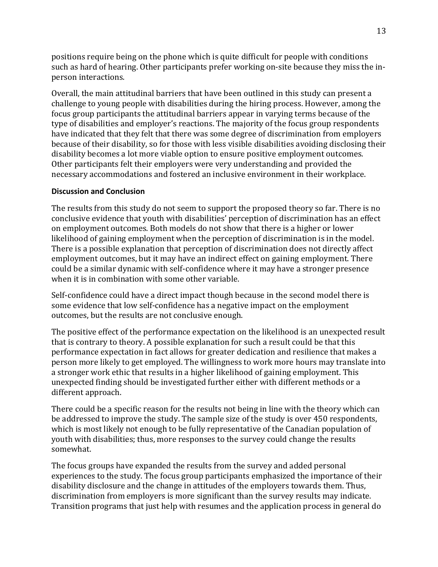positions require being on the phone which is quite difficult for people with conditions such as hard of hearing. Other participants prefer working on-site because they miss the inperson interactions.

Overall, the main attitudinal barriers that have been outlined in this study can present a challenge to young people with disabilities during the hiring process. However, among the focus group participants the attitudinal barriers appear in varying terms because of the type of disabilities and employer's reactions. The majority of the focus group respondents have indicated that they felt that there was some degree of discrimination from employers because of their disability, so for those with less visible disabilities avoiding disclosing their disability becomes a lot more viable option to ensure positive employment outcomes. Other participants felt their employers were very understanding and provided the necessary accommodations and fostered an inclusive environment in their workplace.

### <span id="page-13-0"></span>**Discussion and Conclusion**

The results from this study do not seem to support the proposed theory so far. There is no conclusive evidence that youth with disabilities' perception of discrimination has an effect on employment outcomes. Both models do not show that there is a higher or lower likelihood of gaining employment when the perception of discrimination is in the model. There is a possible explanation that perception of discrimination does not directly affect employment outcomes, but it may have an indirect effect on gaining employment. There could be a similar dynamic with self-confidence where it may have a stronger presence when it is in combination with some other variable.

Self-confidence could have a direct impact though because in the second model there is some evidence that low self-confidence has a negative impact on the employment outcomes, but the results are not conclusive enough.

The positive effect of the performance expectation on the likelihood is an unexpected result that is contrary to theory. A possible explanation for such a result could be that this performance expectation in fact allows for greater dedication and resilience that makes a person more likely to get employed. The willingness to work more hours may translate into a stronger work ethic that results in a higher likelihood of gaining employment. This unexpected finding should be investigated further either with different methods or a different approach.

There could be a specific reason for the results not being in line with the theory which can be addressed to improve the study. The sample size of the study is over 450 respondents, which is most likely not enough to be fully representative of the Canadian population of youth with disabilities; thus, more responses to the survey could change the results somewhat.

The focus groups have expanded the results from the survey and added personal experiences to the study. The focus group participants emphasized the importance of their disability disclosure and the change in attitudes of the employers towards them. Thus, discrimination from employers is more significant than the survey results may indicate. Transition programs that just help with resumes and the application process in general do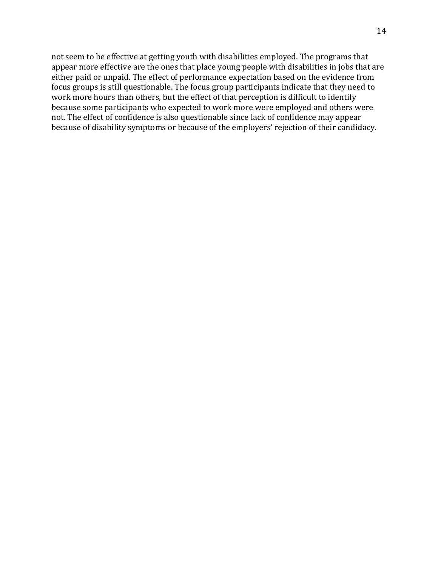not seem to be effective at getting youth with disabilities employed. The programs that appear more effective are the ones that place young people with disabilities in jobs that are either paid or unpaid. The effect of performance expectation based on the evidence from focus groups is still questionable. The focus group participants indicate that they need to work more hours than others, but the effect of that perception is difficult to identify because some participants who expected to work more were employed and others were not. The effect of confidence is also questionable since lack of confidence may appear because of disability symptoms or because of the employers' rejection of their candidacy.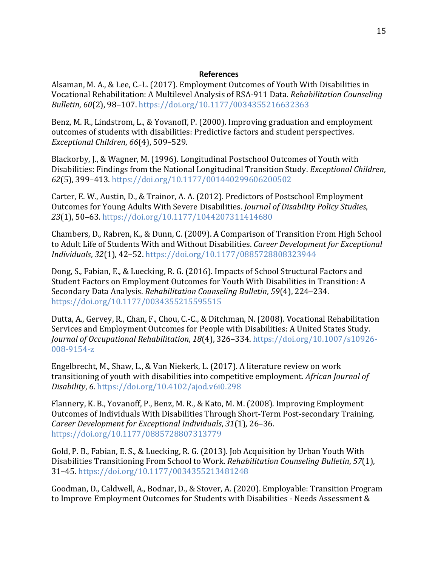#### **References**

<span id="page-15-0"></span>Alsaman, M. A., & Lee, C.-L. (2017). Employment Outcomes of Youth With Disabilities in Vocational Rehabilitation: A Multilevel Analysis of RSA-911 Data. *Rehabilitation Counseling Bulletin*, *60*(2), 98–107.<https://doi.org/10.1177/0034355216632363>

Benz, M. R., Lindstrom, L., & Yovanoff, P. (2000). Improving graduation and employment outcomes of students with disabilities: Predictive factors and student perspectives. *Exceptional Children*, *66*(4), 509–529.

Blackorby, J., & Wagner, M. (1996). Longitudinal Postschool Outcomes of Youth with Disabilities: Findings from the National Longitudinal Transition Study. *Exceptional Children*, *62*(5), 399–413.<https://doi.org/10.1177/001440299606200502>

Carter, E. W., Austin, D., & Trainor, A. A. (2012). Predictors of Postschool Employment Outcomes for Young Adults With Severe Disabilities. *Journal of Disability Policy Studies*, *23*(1), 50–63.<https://doi.org/10.1177/1044207311414680>

Chambers, D., Rabren, K., & Dunn, C. (2009). A Comparison of Transition From High School to Adult Life of Students With and Without Disabilities. *Career Development for Exceptional Individuals*, *32*(1), 42–52.<https://doi.org/10.1177/0885728808323944>

Dong, S., Fabian, E., & Luecking, R. G. (2016). Impacts of School Structural Factors and Student Factors on Employment Outcomes for Youth With Disabilities in Transition: A Secondary Data Analysis. *Rehabilitation Counseling Bulletin*, *59*(4), 224–234. <https://doi.org/10.1177/0034355215595515>

Dutta, A., Gervey, R., Chan, F., Chou, C.-C., & Ditchman, N. (2008). Vocational Rehabilitation Services and Employment Outcomes for People with Disabilities: A United States Study. *Journal of Occupational Rehabilitation*, *18*(4), 326–334. [https://doi.org/10.1007/s10926-](https://doi.org/10.1007/s10926-008-9154-z) [008-9154-z](https://doi.org/10.1007/s10926-008-9154-z)

Engelbrecht, M., Shaw, L., & Van Niekerk, L. (2017). A literature review on work transitioning of youth with disabilities into competitive employment. *African Journal of Disability*, *6*.<https://doi.org/10.4102/ajod.v6i0.298>

Flannery, K. B., Yovanoff, P., Benz, M. R., & Kato, M. M. (2008). Improving Employment Outcomes of Individuals With Disabilities Through Short-Term Post-secondary Training. *Career Development for Exceptional Individuals*, *31*(1), 26–36. <https://doi.org/10.1177/0885728807313779>

Gold, P. B., Fabian, E. S., & Luecking, R. G. (2013). Job Acquisition by Urban Youth With Disabilities Transitioning From School to Work. *Rehabilitation Counseling Bulletin*, *57*(1), 31–45[. https://doi.org/10.1177/0034355213481248](https://doi.org/10.1177/0034355213481248)

Goodman, D., Caldwell, A., Bodnar, D., & Stover, A. (2020). Employable: Transition Program to Improve Employment Outcomes for Students with Disabilities - Needs Assessment &